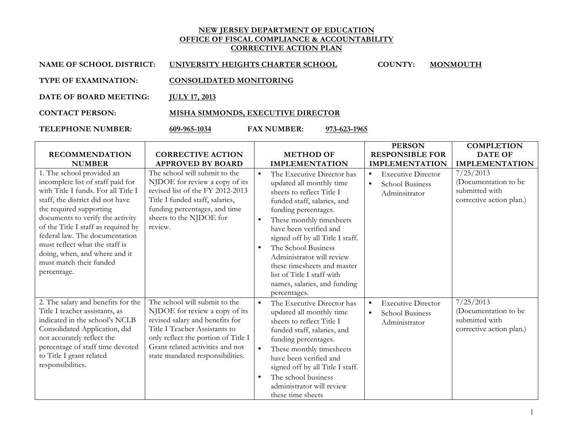## **NEW JERSEY DEPARTMENT OF EDUCATION OFFICE OF FISCAL COMPLIANCE & ACCOUNTABILITY CORRECTIVE ACTION PLAN**

| NAME OF SCHOOL DISTRICT:    | UNIVERSITY HEIGHTS CHARTER SCHOOL  | <b>COUNTY:</b> | <b>MONMOUTH</b> |
|-----------------------------|------------------------------------|----------------|-----------------|
| <b>TYPE OF EXAMINATION:</b> | <b>CONSOLIDATED MONITORING</b>     |                |                 |
| DATE OF BOARD MEETING:      | <b>IULY 17, 2013</b>               |                |                 |
| <b>CONTACT PERSON:</b>      | MISHA SIMMONDS, EXECUTIVE DIRECTOR |                |                 |

**TELEPHONE NUMBER: 609-965-1034 FAX NUMBER: 973-623-1965**

|                                                                                                                                                                                                                                                                                                                                                                                                |                                                                                                                                                                                                                                                    |                                     |                                                                                                                                                                                                                                                                                                                                                                                                       |                        | <b>PERSON</b>                                                        | <b>COMPLETION</b>                                                               |
|------------------------------------------------------------------------------------------------------------------------------------------------------------------------------------------------------------------------------------------------------------------------------------------------------------------------------------------------------------------------------------------------|----------------------------------------------------------------------------------------------------------------------------------------------------------------------------------------------------------------------------------------------------|-------------------------------------|-------------------------------------------------------------------------------------------------------------------------------------------------------------------------------------------------------------------------------------------------------------------------------------------------------------------------------------------------------------------------------------------------------|------------------------|----------------------------------------------------------------------|---------------------------------------------------------------------------------|
| <b>RECOMMENDATION</b>                                                                                                                                                                                                                                                                                                                                                                          | <b>CORRECTIVE ACTION</b>                                                                                                                                                                                                                           |                                     | <b>METHOD OF</b>                                                                                                                                                                                                                                                                                                                                                                                      |                        | <b>RESPONSIBLE FOR</b>                                               | <b>DATE OF</b>                                                                  |
| <b>NUMBER</b>                                                                                                                                                                                                                                                                                                                                                                                  | <b>APPROVED BY BOARD</b>                                                                                                                                                                                                                           |                                     | <b>IMPLEMENTATION</b>                                                                                                                                                                                                                                                                                                                                                                                 |                        | <b>IMPLEMENTATION</b>                                                | <b>IMPLEMENTATION</b>                                                           |
| 1. The school provided an<br>incomplete list of staff paid for<br>with Title I funds. For all Title I<br>staff, the district did not have<br>the required supporting<br>documents to verify the activity<br>of the Title I staff as required by<br>federal law. The documentation<br>must reflect what the staff is<br>doing, when, and where and it<br>must match their funded<br>percentage. | The school will submit to the<br>NJDOE for review a copy of its<br>revised list of the FY 2012-2013<br>Title I funded staff, salaries,<br>funding percentages, and time<br>sheets to the NJDOE for<br>review.                                      | $\bullet$<br>$\bullet$<br>$\bullet$ | The Executive Director has<br>updated all monthly time<br>sheets to reflect Title I<br>funded staff, salaries, and<br>funding percentages.<br>These monthly timesheets<br>have been verified and<br>signed off by all Title I staff.<br>The School Business<br>Administrator will review<br>these timesheets and master<br>list of Title I staff with<br>names, salaries, and funding<br>percentages. | $\bullet$<br>$\bullet$ | <b>Executive Director</b><br><b>School Business</b><br>Adminsitrator | 7/25/2013<br>(Documentation to be<br>submitted with<br>corrective action plan.) |
| 2. The salary and benefits for the<br>Title I teacher assistants, as<br>indicated in the school's NCLB<br>Consolidated Application, did<br>not accurately reflect the<br>percentage of staff time devoted<br>to Title I grant related<br>responsibilities.                                                                                                                                     | The school will submit to the<br>NJDOE for review a copy of its<br>revised salary and benefits for<br>Title I Teacher Assistants to<br>only reflect the portion of Title I<br>Grant related activities and not<br>state mandated responsibilities. | $\bullet$<br>$\bullet$<br>$\bullet$ | The Executive Director has<br>updated all monthly time<br>sheets to reflect Title I<br>funded staff, salaries, and<br>funding percentages.<br>These monthly timesheets<br>have been verified and<br>signed off by all Title I staff.<br>The school business<br>administrator will review<br>these time sheets                                                                                         | $\bullet$<br>$\bullet$ | <b>Executive Director</b><br>School Business<br>Administrator        | 7/25/2013<br>(Documentation to be<br>submitted with<br>corrective action plan.) |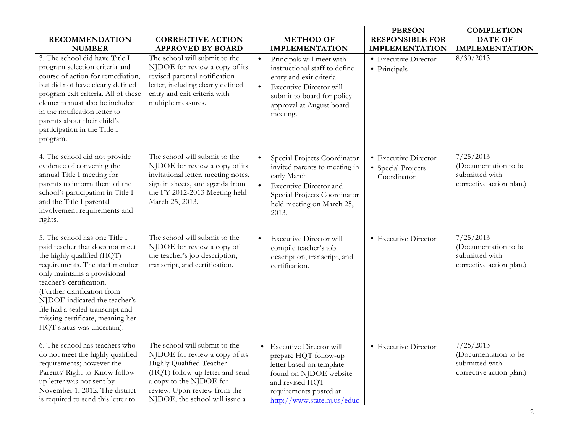| <b>RECOMMENDATION</b><br><b>NUMBER</b><br>3. The school did have Title I<br>program selection criteria and<br>course of action for remediation,<br>but did not have clearly defined<br>program exit criteria. All of these<br>elements must also be included<br>in the notification letter to<br>parents about their child's<br>participation in the Title I<br>program. | <b>CORRECTIVE ACTION</b><br><b>APPROVED BY BOARD</b><br>The school will submit to the<br>NJDOE for review a copy of its<br>revised parental notification<br>letter, including clearly defined<br>entry and exit criteria with<br>multiple measures. | $\bullet$<br>$\bullet$ | <b>METHOD OF</b><br><b>IMPLEMENTATION</b><br>Principals will meet with<br>instructional staff to define<br>entry and exit criteria.<br><b>Executive Director will</b><br>submit to board for policy<br>approval at August board<br>meeting. | <b>PERSON</b><br><b>RESPONSIBLE FOR</b><br><b>IMPLEMENTATION</b><br>• Executive Director<br>• Principals | <b>COMPLETION</b><br><b>DATE OF</b><br><b>IMPLEMENTATION</b><br>8/30/2013       |
|--------------------------------------------------------------------------------------------------------------------------------------------------------------------------------------------------------------------------------------------------------------------------------------------------------------------------------------------------------------------------|-----------------------------------------------------------------------------------------------------------------------------------------------------------------------------------------------------------------------------------------------------|------------------------|---------------------------------------------------------------------------------------------------------------------------------------------------------------------------------------------------------------------------------------------|----------------------------------------------------------------------------------------------------------|---------------------------------------------------------------------------------|
| 4. The school did not provide<br>evidence of convening the<br>annual Title I meeting for<br>parents to inform them of the<br>school's participation in Title I<br>and the Title I parental<br>involvement requirements and<br>rights.                                                                                                                                    | The school will submit to the<br>NJDOE for review a copy of its<br>invitational letter, meeting notes,<br>sign in sheets, and agenda from<br>the FY 2012-2013 Meeting held<br>March 25, 2013.                                                       | $\bullet$              | Special Projects Coordinator<br>invited parents to meeting in<br>early March.<br><b>Executive Director and</b><br>Special Projects Coordinator<br>held meeting on March 25,<br>2013.                                                        | • Executive Director<br>• Special Projects<br>Coordinator                                                | 7/25/2013<br>(Documentation to be<br>submitted with<br>corrective action plan.) |
| 5. The school has one Title I<br>paid teacher that does not meet<br>the highly qualified (HQT)<br>requirements. The staff member<br>only maintains a provisional<br>teacher's certification.<br>(Further clarification from<br>NJDOE indicated the teacher's<br>file had a sealed transcript and<br>missing certificate, meaning her<br>HQT status was uncertain).       | The school will submit to the<br>NJDOE for review a copy of<br>the teacher's job description,<br>transcript, and certification.                                                                                                                     | $\bullet$              | <b>Executive Director will</b><br>compile teacher's job<br>description, transcript, and<br>certification.                                                                                                                                   | • Executive Director                                                                                     | 7/25/2013<br>(Documentation to be<br>submitted with<br>corrective action plan.) |
| 6. The school has teachers who<br>do not meet the highly qualified<br>requirements; however the<br>Parents' Right-to-Know follow-<br>up letter was not sent by<br>November 1, 2012. The district<br>is required to send this letter to                                                                                                                                   | The school will submit to the<br>NJDOE for review a copy of its<br>Highly Qualified Teacher<br>(HQT) follow-up letter and send<br>a copy to the NJDOE for<br>review. Upon review from the<br>NJDOE, the school will issue a                         | $\bullet$              | <b>Executive Director will</b><br>prepare HQT follow-up<br>letter based on template<br>found on NJDOE website<br>and revised HQT<br>requirements posted at<br>http://www.state.nj.us/educ                                                   | • Executive Director                                                                                     | 7/25/2013<br>(Documentation to be<br>submitted with<br>corrective action plan.) |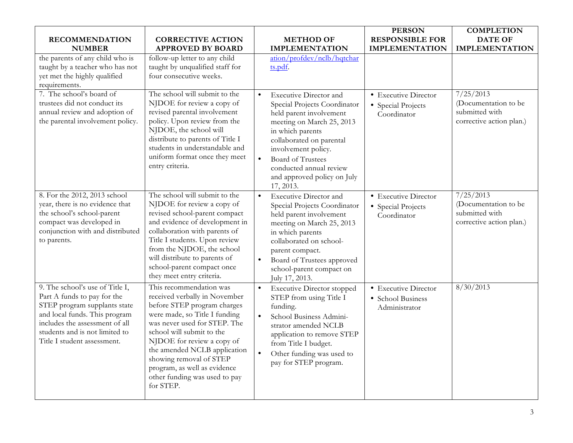|                                                                                                                                                                                                                                    |                                                                                                                                                                                                                                                                                                                                                              |                                                                                                                                                                                                                                                                                                 | <b>PERSON</b>                                              | <b>COMPLETION</b>                                                               |
|------------------------------------------------------------------------------------------------------------------------------------------------------------------------------------------------------------------------------------|--------------------------------------------------------------------------------------------------------------------------------------------------------------------------------------------------------------------------------------------------------------------------------------------------------------------------------------------------------------|-------------------------------------------------------------------------------------------------------------------------------------------------------------------------------------------------------------------------------------------------------------------------------------------------|------------------------------------------------------------|---------------------------------------------------------------------------------|
| <b>RECOMMENDATION</b>                                                                                                                                                                                                              | <b>CORRECTIVE ACTION</b>                                                                                                                                                                                                                                                                                                                                     | <b>METHOD OF</b>                                                                                                                                                                                                                                                                                | <b>RESPONSIBLE FOR</b>                                     | <b>DATE OF</b>                                                                  |
| <b>NUMBER</b>                                                                                                                                                                                                                      | <b>APPROVED BY BOARD</b>                                                                                                                                                                                                                                                                                                                                     | <b>IMPLEMENTATION</b>                                                                                                                                                                                                                                                                           | <b>IMPLEMENTATION</b>                                      | <b>IMPLEMENTATION</b>                                                           |
| the parents of any child who is<br>taught by a teacher who has not<br>yet met the highly qualified<br>requirements.                                                                                                                | follow-up letter to any child<br>taught by unqualified staff for<br>four consecutive weeks.                                                                                                                                                                                                                                                                  | ation/profdey/nclb/hqtchar<br>ts.pdf.                                                                                                                                                                                                                                                           |                                                            |                                                                                 |
| 7. The school's board of<br>trustees did not conduct its<br>annual review and adoption of<br>the parental involvement policy.                                                                                                      | The school will submit to the<br>NJDOE for review a copy of<br>revised parental involvement<br>policy. Upon review from the<br>NJDOE, the school will<br>distribute to parents of Title I<br>students in understandable and<br>uniform format once they meet<br>entry criteria.                                                                              | <b>Executive Director and</b><br>Special Projects Coordinator<br>held parent involvement<br>meeting on March 25, 2013<br>in which parents<br>collaborated on parental<br>involvement policy.<br><b>Board of Trustees</b><br>conducted annual review<br>and approved policy on July<br>17, 2013. | • Executive Director<br>• Special Projects<br>Coordinator  | 7/25/2013<br>(Documentation to be<br>submitted with<br>corrective action plan.) |
| 8. For the 2012, 2013 school<br>year, there is no evidence that<br>the school's school-parent<br>compact was developed in<br>conjunction with and distributed<br>to parents.                                                       | The school will submit to the<br>NJDOE for review a copy of<br>revised school-parent compact<br>and evidence of development in<br>collaboration with parents of<br>Title I students. Upon review<br>from the NJDOE, the school<br>will distribute to parents of<br>school-parent compact once<br>they meet entry criteria.                                   | Executive Director and<br>$\bullet$<br>Special Projects Coordinator<br>held parent involvement<br>meeting on March 25, 2013<br>in which parents<br>collaborated on school-<br>parent compact.<br>Board of Trustees approved<br>school-parent compact on<br>July 17, 2013.                       | • Executive Director<br>• Special Projects<br>Coordinator  | 7/25/2013<br>(Documentation to be<br>submitted with<br>corrective action plan.) |
| 9. The school's use of Title I,<br>Part A funds to pay for the<br>STEP program supplants state<br>and local funds. This program<br>includes the assessment of all<br>students and is not limited to<br>Title I student assessment. | This recommendation was<br>received verbally in November<br>before STEP program charges<br>were made, so Title I funding<br>was never used for STEP. The<br>school will submit to the<br>NJDOE for review a copy of<br>the amended NCLB application<br>showing removal of STEP<br>program, as well as evidence<br>other funding was used to pay<br>for STEP. | <b>Executive Director stopped</b><br>$\bullet$<br>STEP from using Title I<br>funding.<br>School Business Admini-<br>strator amended NCLB<br>application to remove STEP<br>from Title I budget.<br>Other funding was used to<br>$\bullet$<br>pay for STEP program.                               | • Executive Director<br>• School Business<br>Administrator | 8/30/2013                                                                       |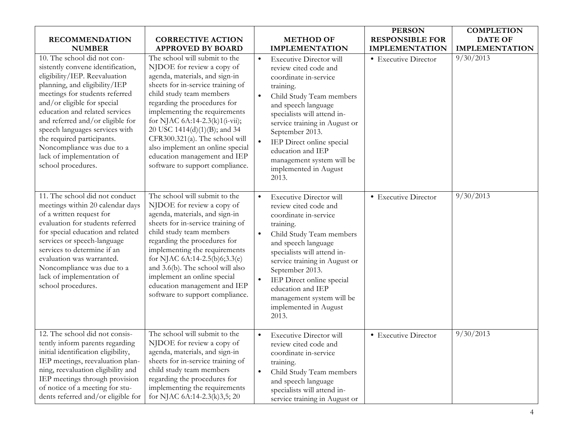|                                                                                                                                                                                                                                                                                                                                                                                                                            |                                                                                                                                                                                                                                                                                                                                                                                                                                            |                        |                                                                                                                                                                                                                                                                                                                                                      | <b>PERSON</b>          | <b>COMPLETION</b>     |
|----------------------------------------------------------------------------------------------------------------------------------------------------------------------------------------------------------------------------------------------------------------------------------------------------------------------------------------------------------------------------------------------------------------------------|--------------------------------------------------------------------------------------------------------------------------------------------------------------------------------------------------------------------------------------------------------------------------------------------------------------------------------------------------------------------------------------------------------------------------------------------|------------------------|------------------------------------------------------------------------------------------------------------------------------------------------------------------------------------------------------------------------------------------------------------------------------------------------------------------------------------------------------|------------------------|-----------------------|
| <b>RECOMMENDATION</b>                                                                                                                                                                                                                                                                                                                                                                                                      | <b>CORRECTIVE ACTION</b>                                                                                                                                                                                                                                                                                                                                                                                                                   |                        | <b>METHOD OF</b>                                                                                                                                                                                                                                                                                                                                     | <b>RESPONSIBLE FOR</b> | <b>DATE OF</b>        |
| <b>NUMBER</b>                                                                                                                                                                                                                                                                                                                                                                                                              | <b>APPROVED BY BOARD</b>                                                                                                                                                                                                                                                                                                                                                                                                                   |                        | <b>IMPLEMENTATION</b>                                                                                                                                                                                                                                                                                                                                | <b>IMPLEMENTATION</b>  | <b>IMPLEMENTATION</b> |
| 10. The school did not con-<br>sistently convene identification,<br>eligibility/IEP. Reevaluation<br>planning, and eligibility/IEP<br>meetings for students referred<br>and/or eligible for special<br>education and related services<br>and referred and/or eligible for<br>speech languages services with<br>the required participants.<br>Noncompliance was due to a<br>lack of implementation of<br>school procedures. | The school will submit to the<br>NJDOE for review a copy of<br>agenda, materials, and sign-in<br>sheets for in-service training of<br>child study team members<br>regarding the procedures for<br>implementing the requirements<br>for NJAC 6A:14-2.3(k)1(i-vii);<br>20 USC 1414(d)(1)(B); and 34<br>CFR300.321(a). The school will<br>also implement an online special<br>education management and IEP<br>software to support compliance. | $\bullet$              | <b>Executive Director will</b><br>review cited code and<br>coordinate in-service<br>training.<br>Child Study Team members<br>and speech language<br>specialists will attend in-<br>service training in August or<br>September 2013.<br>IEP Direct online special<br>education and IEP<br>management system will be<br>implemented in August<br>2013. | • Executive Director   | 9/30/2013             |
| 11. The school did not conduct<br>meetings within 20 calendar days<br>of a written request for<br>evaluation for students referred<br>for special education and related<br>services or speech-language<br>services to determine if an<br>evaluation was warranted.<br>Noncompliance was due to a<br>lack of implementation of<br>school procedures.                                                                        | The school will submit to the<br>NJDOE for review a copy of<br>agenda, materials, and sign-in<br>sheets for in-service training of<br>child study team members<br>regarding the procedures for<br>implementing the requirements<br>for NJAC 6A:14-2.5(b)6;3.3(e)<br>and 3.6(b). The school will also<br>implement an online special<br>education management and IEP<br>software to support compliance.                                     | $\bullet$<br>$\bullet$ | <b>Executive Director will</b><br>review cited code and<br>coordinate in-service<br>training.<br>Child Study Team members<br>and speech language<br>specialists will attend in-<br>service training in August or<br>September 2013.<br>IEP Direct online special<br>education and IEP<br>management system will be<br>implemented in August<br>2013. | • Executive Director   | 9/30/2013             |
| 12. The school did not consis-<br>tently inform parents regarding<br>initial identification eligibility,<br>IEP meetings, reevaluation plan-<br>ning, reevaluation eligibility and<br>IEP meetings through provision<br>of notice of a meeting for stu-<br>dents referred and/or eligible for                                                                                                                              | The school will submit to the<br>NJDOE for review a copy of<br>agenda, materials, and sign-in<br>sheets for in-service training of<br>child study team members<br>regarding the procedures for<br>implementing the requirements<br>for NJAC 6A:14-2.3(k)3,5; 20                                                                                                                                                                            | $\bullet$<br>$\bullet$ | <b>Executive Director will</b><br>review cited code and<br>coordinate in-service<br>training.<br>Child Study Team members<br>and speech language<br>specialists will attend in-<br>service training in August or                                                                                                                                     | • Executive Director   | 9/30/2013             |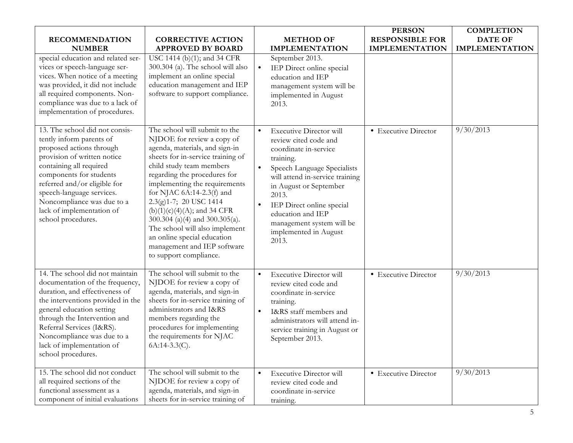| <b>RECOMMENDATION</b><br><b>NUMBER</b><br>special education and related ser-<br>vices or speech-language ser-<br>vices. When notice of a meeting<br>was provided, it did not include<br>all required components. Non-<br>compliance was due to a lack of<br>implementation of procedures.                                 | <b>CORRECTIVE ACTION</b><br><b>APPROVED BY BOARD</b><br>USC 1414 (b)(1); and 34 CFR<br>300.304 (a). The school will also<br>implement an online special<br>education management and IEP<br>software to support compliance.                                                                                                                                                                                                                                                            | <b>METHOD OF</b><br><b>IMPLEMENTATION</b><br>September 2013.<br>IEP Direct online special<br>$\bullet$<br>education and IEP<br>management system will be<br>implemented in August<br>2013.                                                                                                                                                    | <b>PERSON</b><br><b>RESPONSIBLE FOR</b><br><b>IMPLEMENTATION</b> | <b>COMPLETION</b><br><b>DATE OF</b><br><b>IMPLEMENTATION</b> |
|---------------------------------------------------------------------------------------------------------------------------------------------------------------------------------------------------------------------------------------------------------------------------------------------------------------------------|---------------------------------------------------------------------------------------------------------------------------------------------------------------------------------------------------------------------------------------------------------------------------------------------------------------------------------------------------------------------------------------------------------------------------------------------------------------------------------------|-----------------------------------------------------------------------------------------------------------------------------------------------------------------------------------------------------------------------------------------------------------------------------------------------------------------------------------------------|------------------------------------------------------------------|--------------------------------------------------------------|
| 13. The school did not consis-<br>tently inform parents of<br>proposed actions through<br>provision of written notice<br>containing all required<br>components for students<br>referred and/or eligible for<br>speech-language services.<br>Noncompliance was due to a<br>lack of implementation of<br>school procedures. | The school will submit to the<br>NJDOE for review a copy of<br>agenda, materials, and sign-in<br>sheets for in-service training of<br>child study team members<br>regarding the procedures for<br>implementing the requirements<br>for NJAC $6A:14-2.3(f)$ and<br>2.3(g)1-7; 20 USC 1414<br>$(b)(1)(c)(4)(A);$ and 34 CFR<br>300.304 (a)(4) and 300.305(a).<br>The school will also implement<br>an online special education<br>management and IEP software<br>to support compliance. | <b>Executive Director will</b><br>$\bullet$<br>review cited code and<br>coordinate in-service<br>training.<br>Speech Language Specialists<br>will attend in-service training<br>in August or September<br>2013.<br>IEP Direct online special<br>$\bullet$<br>education and IEP<br>management system will be<br>implemented in August<br>2013. | • Executive Director                                             | 9/30/2013                                                    |
| 14. The school did not maintain<br>documentation of the frequency,<br>duration, and effectiveness of<br>the interventions provided in the<br>general education setting<br>through the Intervention and<br>Referral Services (I&RS).<br>Noncompliance was due to a<br>lack of implementation of<br>school procedures.      | The school will submit to the<br>NJDOE for review a copy of<br>agenda, materials, and sign-in<br>sheets for in-service training of<br>administrators and I&RS<br>members regarding the<br>procedures for implementing<br>the requirements for NJAC<br>$6A:14-3.3(C)$ .                                                                                                                                                                                                                | <b>Executive Director will</b><br>$\bullet$<br>review cited code and<br>coordinate in-service<br>training.<br>I&RS staff members and<br>$\bullet$<br>administrators will attend in-<br>service training in August or<br>September 2013.                                                                                                       | • Executive Director                                             | 9/30/2013                                                    |
| 15. The school did not conduct<br>all required sections of the<br>functional assessment as a<br>component of initial evaluations                                                                                                                                                                                          | The school will submit to the<br>NJDOE for review a copy of<br>agenda, materials, and sign-in<br>sheets for in-service training of                                                                                                                                                                                                                                                                                                                                                    | <b>Executive Director will</b><br>$\bullet$<br>review cited code and<br>coordinate in-service<br>training.                                                                                                                                                                                                                                    | • Executive Director                                             | 9/30/2013                                                    |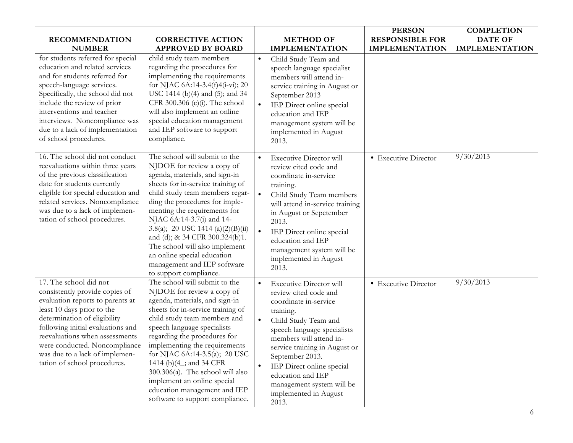|                                                                                                                                                                                                                                                                                                                                      |                                                                                                                                                                                                                                                                                                                                                                                                                                                                         |                                     |                                                                                                                                                                                                                                                                                                                                                      | <b>PERSON</b>          | <b>COMPLETION</b>     |
|--------------------------------------------------------------------------------------------------------------------------------------------------------------------------------------------------------------------------------------------------------------------------------------------------------------------------------------|-------------------------------------------------------------------------------------------------------------------------------------------------------------------------------------------------------------------------------------------------------------------------------------------------------------------------------------------------------------------------------------------------------------------------------------------------------------------------|-------------------------------------|------------------------------------------------------------------------------------------------------------------------------------------------------------------------------------------------------------------------------------------------------------------------------------------------------------------------------------------------------|------------------------|-----------------------|
| <b>RECOMMENDATION</b>                                                                                                                                                                                                                                                                                                                | <b>CORRECTIVE ACTION</b>                                                                                                                                                                                                                                                                                                                                                                                                                                                |                                     | <b>METHOD OF</b>                                                                                                                                                                                                                                                                                                                                     | <b>RESPONSIBLE FOR</b> | <b>DATE OF</b>        |
| <b>NUMBER</b>                                                                                                                                                                                                                                                                                                                        | <b>APPROVED BY BOARD</b>                                                                                                                                                                                                                                                                                                                                                                                                                                                |                                     | <b>IMPLEMENTATION</b>                                                                                                                                                                                                                                                                                                                                | <b>IMPLEMENTATION</b>  | <b>IMPLEMENTATION</b> |
| for students referred for special<br>education and related services<br>and for students referred for<br>speech-language services.<br>Specifically, the school did not<br>include the review of prior<br>interventions and teacher<br>interviews. Noncompliance was<br>due to a lack of implementation<br>of school procedures.       | child study team members<br>regarding the procedures for<br>implementing the requirements<br>for NJAC 6A:14-3.4(f)4(i-vi); 20<br>USC 1414 (b)(4) and (5); and 34<br>CFR 300.306 (c)(i). The school<br>will also implement an online<br>special education management<br>and IEP software to support<br>compliance.                                                                                                                                                       | $\bullet$<br>$\bullet$              | Child Study Team and<br>speech language specialist<br>members will attend in-<br>service training in August or<br>September 2013<br>IEP Direct online special<br>education and IEP<br>management system will be<br>implemented in August<br>2013.                                                                                                    |                        |                       |
| 16. The school did not conduct<br>reevaluations within three years<br>of the previous classification<br>date for students currently<br>eligible for special education and<br>related services. Noncompliance<br>was due to a lack of implemen-<br>tation of school procedures.                                                       | The school will submit to the<br>NJDOE for review a copy of<br>agenda, materials, and sign-in<br>sheets for in-service training of<br>child study team members regar-<br>ding the procedures for imple-<br>menting the requirements for<br>NJAC 6A:14-3.7(i) and 14-<br>3.8(a); 20 USC 1414 (a)(2)(B)(ii)<br>and (d); & 34 CFR 300.324(b)1.<br>The school will also implement<br>an online special education<br>management and IEP software<br>to support compliance.   | $\bullet$<br>$\bullet$<br>$\bullet$ | <b>Executive Director will</b><br>review cited code and<br>coordinate in-service<br>training.<br>Child Study Team members<br>will attend in-service training<br>in August or Sepetember<br>2013.<br>IEP Direct online special<br>education and IEP<br>management system will be<br>implemented in August<br>2013.                                    | • Executive Director   | 9/30/2013             |
| 17. The school did not<br>consistently provide copies of<br>evaluation reports to parents at<br>least 10 days prior to the<br>determination of eligibility<br>following initial evaluations and<br>reevaluations when assessments<br>were conducted. Noncompliance<br>was due to a lack of implemen-<br>tation of school procedures. | The school will submit to the<br>NJDOE for review a copy of<br>agenda, materials, and sign-in<br>sheets for in-service training of<br>child study team members and<br>speech language specialists<br>regarding the procedures for<br>implementing the requirements<br>for NJAC 6A:14-3.5(a); 20 USC<br>1414 (b)(4_; and 34 CFR<br>$300.306(a)$ . The school will also<br>implement an online special<br>education management and IEP<br>software to support compliance. | $\bullet$                           | <b>Executive Director will</b><br>review cited code and<br>coordinate in-service<br>training.<br>Child Study Team and<br>speech language specialists<br>members will attend in-<br>service training in August or<br>September 2013.<br>IEP Direct online special<br>education and IEP<br>management system will be<br>implemented in August<br>2013. | • Executive Director   | 9/30/2013             |